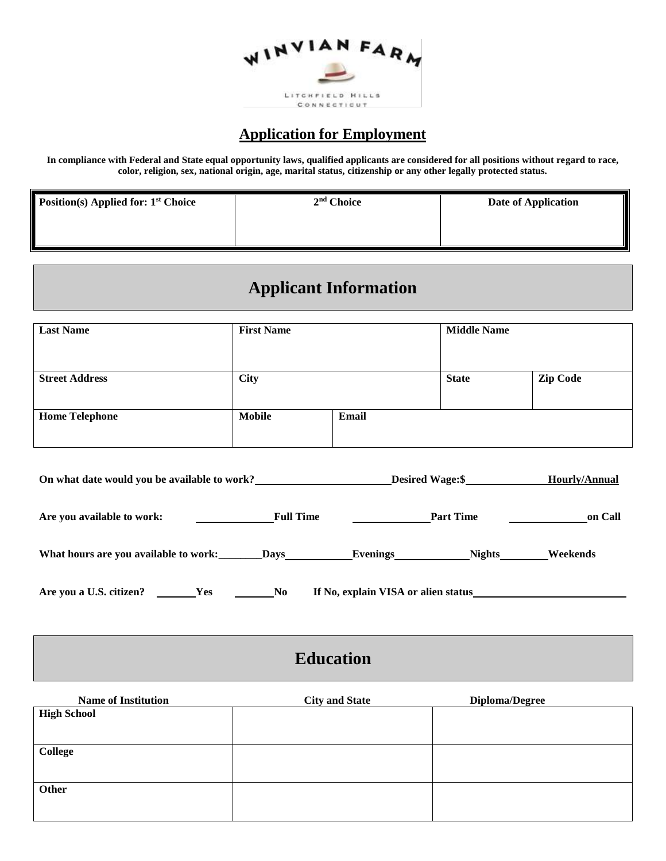

### **Application for Employment**

**In compliance with Federal and State equal opportunity laws, qualified applicants are considered for all positions without regard to race, color, religion, sex, national origin, age, marital status, citizenship or any other legally protected status.**

| <b>Position(s) Applied for: 1st Choice</b> | 2 <sup>nd</sup> Choice | Date of Application |
|--------------------------------------------|------------------------|---------------------|
|                                            |                        |                     |

## **Applicant Information**

| <b>Last Name</b>      | <b>First Name</b> |       | <b>Middle Name</b> |                 |
|-----------------------|-------------------|-------|--------------------|-----------------|
| <b>Street Address</b> | <b>City</b>       |       | <b>State</b>       | <b>Zip Code</b> |
| <b>Home Telephone</b> | <b>Mobile</b>     | Email |                    |                 |

| On what date would you be available to work? |                  | Desired Wage:\$                     |               | Hourly/Annual |
|----------------------------------------------|------------------|-------------------------------------|---------------|---------------|
| Are you available to work:                   | <b>Full Time</b> | <b>Part Time</b>                    |               | on Call       |
| What hours are you available to work:        | <b>Days</b>      | Evenings________                    | <b>Nights</b> | Weekends      |
| Are you a U.S. citizen?<br><b>Yes</b>        | N <sub>0</sub>   | If No, explain VISA or alien status |               |               |

## **Education**

| <b>Name of Institution</b> | <b>City and State</b> | Diploma/Degree |
|----------------------------|-----------------------|----------------|
| <b>High School</b>         |                       |                |
|                            |                       |                |
| <b>College</b>             |                       |                |
|                            |                       |                |
| Other                      |                       |                |
|                            |                       |                |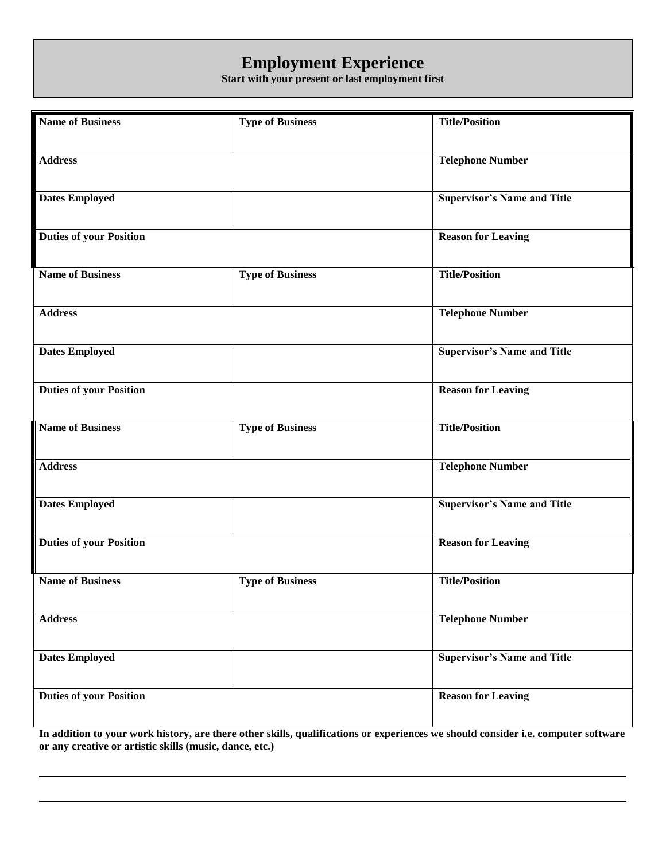# **Employment Experience**

**Start with your present or last employment first**

| <b>Name of Business</b>        | <b>Type of Business</b> | <b>Title/Position</b>              |
|--------------------------------|-------------------------|------------------------------------|
|                                |                         |                                    |
|                                |                         |                                    |
| <b>Address</b>                 |                         | <b>Telephone Number</b>            |
|                                |                         |                                    |
| <b>Dates Employed</b>          |                         | <b>Supervisor's Name and Title</b> |
|                                |                         |                                    |
|                                |                         |                                    |
| <b>Duties of your Position</b> |                         | <b>Reason for Leaving</b>          |
|                                |                         |                                    |
|                                |                         |                                    |
| <b>Name of Business</b>        | <b>Type of Business</b> | <b>Title/Position</b>              |
|                                |                         |                                    |
| <b>Address</b>                 |                         | <b>Telephone Number</b>            |
|                                |                         |                                    |
|                                |                         |                                    |
| <b>Dates Employed</b>          |                         | <b>Supervisor's Name and Title</b> |
|                                |                         |                                    |
| <b>Duties of your Position</b> |                         | <b>Reason for Leaving</b>          |
|                                |                         |                                    |
|                                |                         |                                    |
| <b>Name of Business</b>        | <b>Type of Business</b> | <b>Title/Position</b>              |
|                                |                         |                                    |
| <b>Address</b>                 |                         | <b>Telephone Number</b>            |
|                                |                         |                                    |
|                                |                         |                                    |
| <b>Dates Employed</b>          |                         | <b>Supervisor's Name and Title</b> |
|                                |                         |                                    |
| <b>Duties of your Position</b> |                         | <b>Reason for Leaving</b>          |
|                                |                         |                                    |
|                                |                         |                                    |
| <b>Name of Business</b>        | <b>Type of Business</b> | <b>Title/Position</b>              |
|                                |                         |                                    |
| <b>Address</b>                 |                         | <b>Telephone Number</b>            |
|                                |                         |                                    |
|                                |                         |                                    |
| <b>Dates Employed</b>          |                         | <b>Supervisor's Name and Title</b> |
|                                |                         |                                    |
|                                |                         |                                    |
| <b>Duties of your Position</b> |                         | <b>Reason for Leaving</b>          |
|                                |                         |                                    |
|                                |                         |                                    |

**In addition to your work history, are there other skills, qualifications or experiences we should consider i.e. computer software or any creative or artistic skills (music, dance, etc.)**